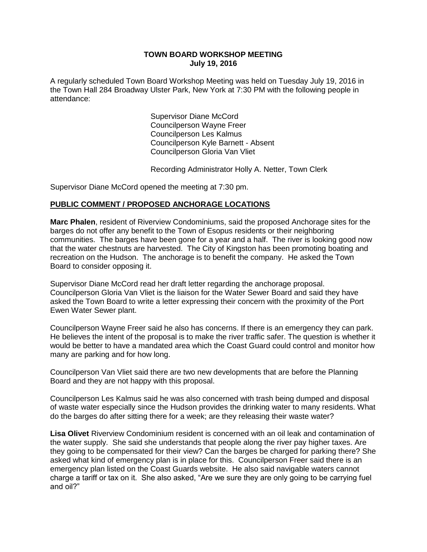### **TOWN BOARD WORKSHOP MEETING July 19, 2016**

A regularly scheduled Town Board Workshop Meeting was held on Tuesday July 19, 2016 in the Town Hall 284 Broadway Ulster Park, New York at 7:30 PM with the following people in attendance:

> Supervisor Diane McCord Councilperson Wayne Freer Councilperson Les Kalmus Councilperson Kyle Barnett - Absent Councilperson Gloria Van Vliet

Recording Administrator Holly A. Netter, Town Clerk

Supervisor Diane McCord opened the meeting at 7:30 pm.

## **PUBLIC COMMENT / PROPOSED ANCHORAGE LOCATIONS**

**Marc Phalen**, resident of Riverview Condominiums, said the proposed Anchorage sites for the barges do not offer any benefit to the Town of Esopus residents or their neighboring communities. The barges have been gone for a year and a half. The river is looking good now that the water chestnuts are harvested. The City of Kingston has been promoting boating and recreation on the Hudson. The anchorage is to benefit the company. He asked the Town Board to consider opposing it.

Supervisor Diane McCord read her draft letter regarding the anchorage proposal. Councilperson Gloria Van Vliet is the liaison for the Water Sewer Board and said they have asked the Town Board to write a letter expressing their concern with the proximity of the Port Ewen Water Sewer plant.

Councilperson Wayne Freer said he also has concerns. If there is an emergency they can park. He believes the intent of the proposal is to make the river traffic safer. The question is whether it would be better to have a mandated area which the Coast Guard could control and monitor how many are parking and for how long.

Councilperson Van Vliet said there are two new developments that are before the Planning Board and they are not happy with this proposal.

Councilperson Les Kalmus said he was also concerned with trash being dumped and disposal of waste water especially since the Hudson provides the drinking water to many residents. What do the barges do after sitting there for a week; are they releasing their waste water?

**Lisa Olivet** Riverview Condominium resident is concerned with an oil leak and contamination of the water supply. She said she understands that people along the river pay higher taxes. Are they going to be compensated for their view? Can the barges be charged for parking there? She asked what kind of emergency plan is in place for this. Councilperson Freer said there is an emergency plan listed on the Coast Guards website. He also said navigable waters cannot charge a tariff or tax on it. She also asked, "Are we sure they are only going to be carrying fuel and oil?"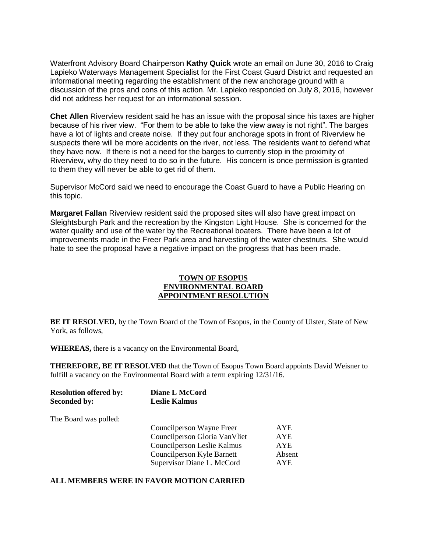Waterfront Advisory Board Chairperson **Kathy Quick** wrote an email on June 30, 2016 to Craig Lapieko Waterways Management Specialist for the First Coast Guard District and requested an informational meeting regarding the establishment of the new anchorage ground with a discussion of the pros and cons of this action. Mr. Lapieko responded on July 8, 2016, however did not address her request for an informational session.

**Chet Allen** Riverview resident said he has an issue with the proposal since his taxes are higher because of his river view. "For them to be able to take the view away is not right". The barges have a lot of lights and create noise. If they put four anchorage spots in front of Riverview he suspects there will be more accidents on the river, not less. The residents want to defend what they have now. If there is not a need for the barges to currently stop in the proximity of Riverview, why do they need to do so in the future. His concern is once permission is granted to them they will never be able to get rid of them.

Supervisor McCord said we need to encourage the Coast Guard to have a Public Hearing on this topic.

**Margaret Fallan** Riverview resident said the proposed sites will also have great impact on Sleightsburgh Park and the recreation by the Kingston Light House. She is concerned for the water quality and use of the water by the Recreational boaters. There have been a lot of improvements made in the Freer Park area and harvesting of the water chestnuts. She would hate to see the proposal have a negative impact on the progress that has been made.

#### **TOWN OF ESOPUS ENVIRONMENTAL BOARD APPOINTMENT RESOLUTION**

**BE IT RESOLVED,** by the Town Board of the Town of Esopus, in the County of Ulster, State of New York, as follows,

**WHEREAS,** there is a vacancy on the Environmental Board,

**THEREFORE, BE IT RESOLVED** that the Town of Esopus Town Board appoints David Weisner to fulfill a vacancy on the Environmental Board with a term expiring 12/31/16.

| Diane L McCord<br><b>Leslie Kalmus</b> |            |
|----------------------------------------|------------|
|                                        |            |
| Councilperson Wayne Freer              | <b>AYE</b> |
| Councilperson Gloria VanVliet          | <b>AYE</b> |
| Councilperson Leslie Kalmus            | <b>AYE</b> |
| Councilperson Kyle Barnett             | Absent     |
| Supervisor Diane L. McCord             | <b>AYE</b> |
|                                        |            |

#### **ALL MEMBERS WERE IN FAVOR MOTION CARRIED**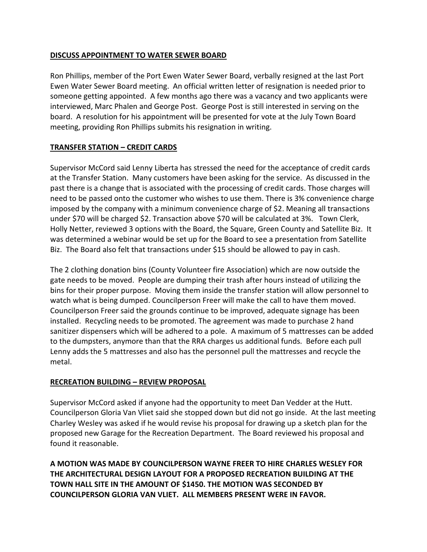## **DISCUSS APPOINTMENT TO WATER SEWER BOARD**

Ron Phillips, member of the Port Ewen Water Sewer Board, verbally resigned at the last Port Ewen Water Sewer Board meeting. An official written letter of resignation is needed prior to someone getting appointed. A few months ago there was a vacancy and two applicants were interviewed, Marc Phalen and George Post. George Post is still interested in serving on the board. A resolution for his appointment will be presented for vote at the July Town Board meeting, providing Ron Phillips submits his resignation in writing.

# **TRANSFER STATION – CREDIT CARDS**

Supervisor McCord said Lenny Liberta has stressed the need for the acceptance of credit cards at the Transfer Station. Many customers have been asking for the service. As discussed in the past there is a change that is associated with the processing of credit cards. Those charges will need to be passed onto the customer who wishes to use them. There is 3% convenience charge imposed by the company with a minimum convenience charge of \$2. Meaning all transactions under \$70 will be charged \$2. Transaction above \$70 will be calculated at 3%. Town Clerk, Holly Netter, reviewed 3 options with the Board, the Square, Green County and Satellite Biz. It was determined a webinar would be set up for the Board to see a presentation from Satellite Biz. The Board also felt that transactions under \$15 should be allowed to pay in cash.

The 2 clothing donation bins (County Volunteer fire Association) which are now outside the gate needs to be moved. People are dumping their trash after hours instead of utilizing the bins for their proper purpose. Moving them inside the transfer station will allow personnel to watch what is being dumped. Councilperson Freer will make the call to have them moved. Councilperson Freer said the grounds continue to be improved, adequate signage has been installed. Recycling needs to be promoted. The agreement was made to purchase 2 hand sanitizer dispensers which will be adhered to a pole. A maximum of 5 mattresses can be added to the dumpsters, anymore than that the RRA charges us additional funds. Before each pull Lenny adds the 5 mattresses and also has the personnel pull the mattresses and recycle the metal.

# **RECREATION BUILDING – REVIEW PROPOSAL**

Supervisor McCord asked if anyone had the opportunity to meet Dan Vedder at the Hutt. Councilperson Gloria Van Vliet said she stopped down but did not go inside. At the last meeting Charley Wesley was asked if he would revise his proposal for drawing up a sketch plan for the proposed new Garage for the Recreation Department. The Board reviewed his proposal and found it reasonable.

**A MOTION WAS MADE BY COUNCILPERSON WAYNE FREER TO HIRE CHARLES WESLEY FOR THE ARCHITECTURAL DESIGN LAYOUT FOR A PROPOSED RECREATION BUILDING AT THE TOWN HALL SITE IN THE AMOUNT OF \$1450. THE MOTION WAS SECONDED BY COUNCILPERSON GLORIA VAN VLIET. ALL MEMBERS PRESENT WERE IN FAVOR.**